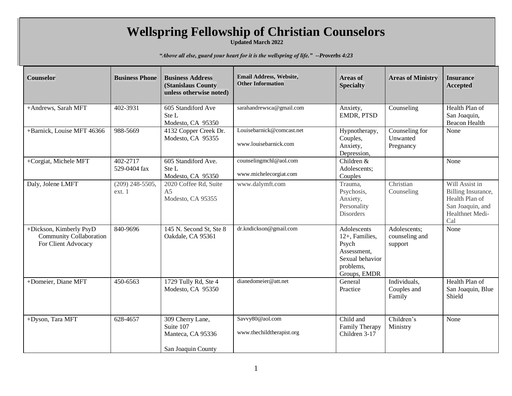## **Wellspring Fellowship of Christian Counselors**

**Updated March 2022**

*"Above all else, guard your heart for it is the wellspring of life." --Proverbs 4:23*

| <b>Counselor</b>                                                          | <b>Business Phone</b>       | <b>Business Address</b><br>(Stanislaus County<br>unless otherwise noted) | Email Address, Website,<br><b>Other Information</b> | <b>Areas of</b><br><b>Specialty</b>                                                                   | <b>Areas of Ministry</b>                  | <b>Insurance</b><br><b>Accepted</b>                                                                  |
|---------------------------------------------------------------------------|-----------------------------|--------------------------------------------------------------------------|-----------------------------------------------------|-------------------------------------------------------------------------------------------------------|-------------------------------------------|------------------------------------------------------------------------------------------------------|
| +Andrews, Sarah MFT                                                       | 402-3931                    | 605 Standiford Ave<br>Ste L<br>Modesto, CA 95350                         | sarahandrewsca@gmail.com                            | Anxiety,<br>EMDR, PTSD                                                                                | Counseling                                | Health Plan of<br>San Joaquin,<br><b>Beacon Health</b>                                               |
| +Barnick, Louise MFT 46366                                                | 988-5669                    | 4132 Copper Creek Dr.<br>Modesto, CA 95355                               | Louisebarnick@comcast.net<br>www.louisebarnick.com  | Hypnotherapy,<br>Couples,<br>Anxiety,<br>Depression,                                                  | Counseling for<br>Unwanted<br>Pregnancy   | None                                                                                                 |
| +Corgiat, Michele MFT                                                     | 402-2717<br>529-0404 fax    | 605 Standiford Ave.<br>Ste L<br>Modesto, CA 95350                        | counselingmchl@aol.com<br>www.michelecorgiat.com    | Children &<br>Adolescents;<br>Couples                                                                 |                                           | None                                                                                                 |
| Daly, Jolene LMFT                                                         | $(209)$ 248-5505,<br>ext. 1 | 2020 Coffee Rd, Suite<br>A <sub>5</sub><br>Modesto, CA 95355             | www.dalymft.com                                     | Trauma,<br>Psychosis,<br>Anxiety,<br>Personality<br>Disorders                                         | Christian<br>Counseling                   | Will Assist in<br>Billing Insurance,<br>Health Plan of<br>San Joaquin, and<br>Healthnet Medi-<br>Cal |
| +Dickson, Kimberly PsyD<br>Community Collaboration<br>For Client Advocacy | 840-9696                    | 145 N. Second St, Ste 8<br>Oakdale, CA 95361                             | dr.kndickson@gmail.com                              | Adolescents<br>12+, Families,<br>Psych<br>Assessment,<br>Sexual behavior<br>problems,<br>Groups, EMDR | Adolescents;<br>counseling and<br>support | None                                                                                                 |
| +Domeier, Diane MFT                                                       | 450-6563                    | 1729 Tully Rd, Ste 4<br>Modesto, CA 95350                                | dianedomeier@att.net                                | General<br>Practice                                                                                   | Individuals,<br>Couples and<br>Family     | Health Plan of<br>San Joaquin, Blue<br>Shield                                                        |
| +Dyson, Tara MFT                                                          | 628-4657                    | 309 Cherry Lane,<br>Suite 107<br>Manteca, CA 95336<br>San Joaquin County | Savvy80@aol.com<br>www.thechildtherapist.org        | Child and<br>Family Therapy<br>Children 3-17                                                          | Children's<br>Ministry                    | None                                                                                                 |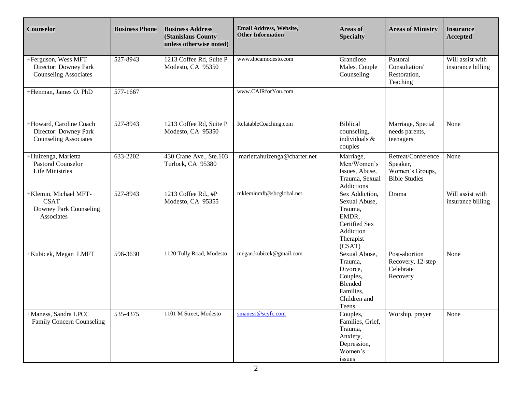| Counselor                                                                        | <b>Business Phone</b> | <b>Business Address</b><br><b>(Stanislaus County)</b><br>unless otherwise noted) | Email Address, Website,<br><b>Other Information</b> | <b>Areas of</b><br><b>Specialty</b>                                                                      | <b>Areas of Ministry</b>                                                  | <b>Insurance</b><br><b>Accepted</b>   |
|----------------------------------------------------------------------------------|-----------------------|----------------------------------------------------------------------------------|-----------------------------------------------------|----------------------------------------------------------------------------------------------------------|---------------------------------------------------------------------------|---------------------------------------|
| +Ferguson, Wess MFT<br>Director: Downey Park<br><b>Counseling Associates</b>     | 527-8943              | 1213 Coffee Rd, Suite P<br>Modesto, CA 95350                                     | www.dpcamodesto.com                                 | Grandiose<br>Males, Couple<br>Counseling                                                                 | Pastoral<br>Consultation/<br>Restoration,<br>Teaching                     | Will assist with<br>insurance billing |
| +Henman, James O. PhD                                                            | 577-1667              |                                                                                  | www.CAIRforYou.com                                  |                                                                                                          |                                                                           |                                       |
| +Howard, Caroline Coach<br>Director: Downey Park<br><b>Counseling Associates</b> | 527-8943              | 1213 Coffee Rd, Suite P<br>Modesto, CA 95350                                     | RelatableCoaching.com                               | Biblical<br>counseling,<br>individuals &<br>couples                                                      | Marriage, Special<br>needs parents,<br>teenagers                          | None                                  |
| +Huizenga, Marietta<br>Pastoral Counselor<br><b>Life Ministries</b>              | 633-2202              | 430 Crane Ave., Ste.103<br>Turlock, CA 95380                                     | mariettahuizenga@charter.net                        | Marriage,<br>Men/Women's<br>Issues, Abuse,<br>Trauma, Sexual<br>Addictions                               | Retreat/Conference<br>Speaker,<br>Women's Groups,<br><b>Bible Studies</b> | None                                  |
| +Klemin, Michael MFT-<br><b>CSAT</b><br>Downey Park Counseling<br>Associates     | 527-8943              | 1213 Coffee Rd., #P<br>Modesto, CA 95355                                         | mkleminmft@sbcglobal.net                            | Sex Addiction,<br>Sexual Abuse,<br>Trauma,<br>EMDR,<br>Certified Sex<br>Addiction<br>Therapist<br>(CSAT) | Drama                                                                     | Will assist with<br>insurance billing |
| +Kubicek, Megan LMFT                                                             | 596-3630              | 1120 Tully Road, Modesto                                                         | megan.kubicek@gmail.com                             | Sexual Abuse,<br>Trauma,<br>Divorce,<br>Couples,<br>Blended<br>Families,<br>Children and<br>Teens        | Post-abortion<br>Recovery, 12-step<br>Celebrate<br>Recovery               | None                                  |
| +Maness, Sandra LPCC<br><b>Family Concern Counseling</b>                         | 535-4375              | 1101 M Street, Modesto                                                           | smaness@scyfc.com                                   | Couples,<br>Families, Grief,<br>Trauma,<br>Anxiety,<br>Depression,<br>Women's<br>issues                  | Worship, prayer                                                           | None                                  |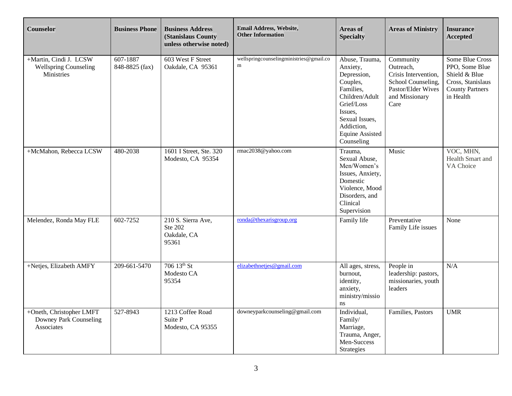| <b>Counselor</b>                                                     | <b>Business Phone</b>      | <b>Business Address</b><br>(Stanislaus County<br>unless otherwise noted) | Email Address, Website,<br><b>Other Information</b> | <b>Areas of</b><br><b>Specialty</b>                                                                                                                                                   | <b>Areas of Ministry</b>                                                                                             | <b>Insurance</b><br><b>Accepted</b>                                                                            |
|----------------------------------------------------------------------|----------------------------|--------------------------------------------------------------------------|-----------------------------------------------------|---------------------------------------------------------------------------------------------------------------------------------------------------------------------------------------|----------------------------------------------------------------------------------------------------------------------|----------------------------------------------------------------------------------------------------------------|
| +Martin, Cindi J. LCSW<br><b>Wellspring Counseling</b><br>Ministries | 607-1887<br>848-8825 (fax) | 603 West F Street<br>Oakdale, CA 95361                                   | wellspringcounselingministries@gmail.co<br>m        | Abuse, Trauma,<br>Anxiety,<br>Depression,<br>Couples,<br>Families,<br>Children/Adult<br>Grief/Loss<br>Issues,<br>Sexual Issues,<br>Addiction,<br><b>Equine Assisted</b><br>Counseling | Community<br>Outreach,<br>Crisis Intervention,<br>School Counseling,<br>Pastor/Elder Wives<br>and Missionary<br>Care | Some Blue Cross<br>PPO, Some Blue<br>Shield & Blue<br>Cross, Stanislaus<br><b>County Partners</b><br>in Health |
| +McMahon, Rebecca LCSW                                               | 480-2038                   | 1601 I Street, Ste. 320<br>Modesto, CA 95354                             | rmac2038@yahoo.com                                  | Trauma,<br>Sexual Abuse,<br>Men/Women's<br>Issues, Anxiety,<br>Domestic<br>Violence, Mood<br>Disorders, and<br>Clinical<br>Supervision                                                | Music                                                                                                                | VOC, MHN,<br>Health Smart and<br>VA Choice                                                                     |
| Melendez, Ronda May FLE                                              | 602-7252                   | 210 S. Sierra Ave,<br>Ste 202<br>Oakdale, CA<br>95361                    | ronda@thexarisgroup.org                             | Family life                                                                                                                                                                           | Preventative<br>Family Life issues                                                                                   | None                                                                                                           |
| +Netjes, Elizabeth AMFY                                              | 209-661-5470               | 706 13th St<br>Modesto CA<br>95354                                       | elizabethnetjes@gmail.com                           | All ages, stress,<br>burnout,<br>identity,<br>anxiety,<br>ministry/missio<br>ns                                                                                                       | People in<br>leadership: pastors,<br>missionaries, youth<br>leaders                                                  | N/A                                                                                                            |
| +Oneth, Christopher LMFT<br>Downey Park Counseling<br>Associates     | 527-8943                   | 1213 Coffee Road<br>Suite P<br>Modesto, CA 95355                         | downeyparkcounseling@gmail.com                      | Individual,<br>Family/<br>Marriage,<br>Trauma, Anger,<br>Men-Success<br><b>Strategies</b>                                                                                             | Families, Pastors                                                                                                    | <b>UMR</b>                                                                                                     |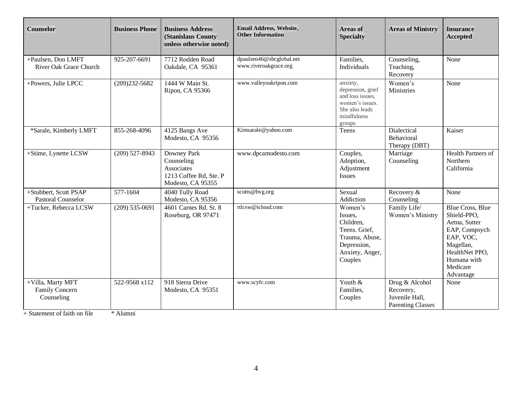| <b>Counselor</b>                                  | <b>Business Phone</b> | <b>Business Address</b><br>(Stanislaus County<br>unless otherwise noted)               | Email Address, Website,<br><b>Other Information</b> | <b>Areas of</b><br><b>Specialty</b>                                                                             | <b>Areas of Ministry</b>                                                  | <b>Insurance</b><br><b>Accepted</b>                                                                                                                          |
|---------------------------------------------------|-----------------------|----------------------------------------------------------------------------------------|-----------------------------------------------------|-----------------------------------------------------------------------------------------------------------------|---------------------------------------------------------------------------|--------------------------------------------------------------------------------------------------------------------------------------------------------------|
| +Paulsen, Don LMFT<br>River Oak Grace Church      | 925-207-6691          | 7712 Rodden Road<br>Oakdale, CA 95361                                                  | dpaulsen46@sbcglobal.net<br>www.riveroakgrace.org   | Families,<br>Individuals                                                                                        | Counseling,<br>Teaching,<br>Recovery                                      | None                                                                                                                                                         |
| +Powers, Julie LPCC                               | $(209)232 - 5682$     | 1444 W Main St.<br>Ripon, CA 95366                                                     | www.valleyoakripon.com                              | anxiety,<br>depression, grief<br>and loss issues,<br>women's issues.<br>She also leads<br>mindfulness<br>groups | Women's<br>Ministries                                                     | None                                                                                                                                                         |
| *Sarale, Kimberly LMFT                            | 855-268-4096          | 4125 Bangs Ave<br>Modesto, CA 95356                                                    | Kimsarale@yahoo.com                                 | Teens                                                                                                           | Dialectical<br>Behavioral<br>Therapy (DBT)                                | Kaiser                                                                                                                                                       |
| +Stime, Lynette LCSW                              | $(209)$ 527-8943      | Downey Park<br>Counseling<br>Associates<br>1213 Coffee Rd, Ste. P<br>Modesto, CA 95355 | www.dpcamodesto.com                                 | Couples,<br>Adoption,<br>Adjustment<br><b>Issues</b>                                                            | Marriage<br>Counseling                                                    | <b>Health Partners of</b><br>Northern<br>California                                                                                                          |
| +Stubbert, Scott PSAP<br>Pastoral Counselor       | 577-1604              | 4040 Tully Road<br>Modesto, CA 95356                                                   | scotts@bvg.org                                      | Sexual<br>Addiction                                                                                             | Recovery &<br>Counseling                                                  | None                                                                                                                                                         |
| +Tucker, Rebecca LCSW                             | $(209)$ 535-0691      | 4601 Carnes Rd. St. 8<br>Roseburg, OR 97471                                            | rtlcsw@icloud.com                                   | Women's<br>Issues,<br>Children,<br>Teens. Grief,<br>Trauma, Abuse,<br>Depression,<br>Anxiety, Anger,<br>Couples | Family Life/<br>Women's Ministry                                          | <b>Blue Cross, Blue</b><br>Shield-PPO,<br>Aetna, Sutter<br>EAP, Compsych<br>EAP, VOC,<br>Magellan,<br>HealthNet PPO,<br>Humana with<br>Medicare<br>Advantage |
| +Villa, Marty MFT<br>Family Concern<br>Counseling | 522-9568 x112         | 918 Sierra Drive<br>Modesto, CA 95351                                                  | www.scyfc.com                                       | Youth &<br>Families,<br>Couples                                                                                 | Drug & Alcohol<br>Recovery,<br>Juvenile Hall,<br><b>Parenting Classes</b> | None                                                                                                                                                         |

+ Statement of faith on file \* Alumni